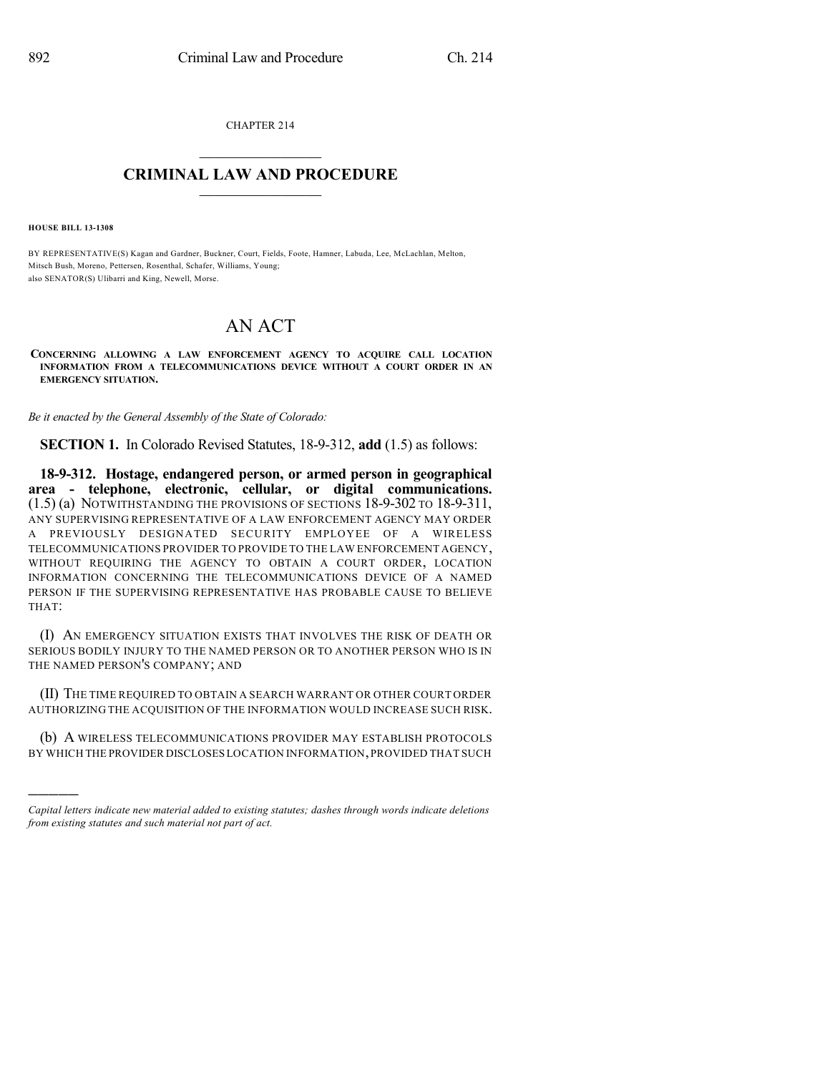CHAPTER 214  $\mathcal{L}_\text{max}$  . The set of the set of the set of the set of the set of the set of the set of the set of the set of the set of the set of the set of the set of the set of the set of the set of the set of the set of the set

## **CRIMINAL LAW AND PROCEDURE**  $\_$

**HOUSE BILL 13-1308**

)))))

BY REPRESENTATIVE(S) Kagan and Gardner, Buckner, Court, Fields, Foote, Hamner, Labuda, Lee, McLachlan, Melton, Mitsch Bush, Moreno, Pettersen, Rosenthal, Schafer, Williams, Young; also SENATOR(S) Ulibarri and King, Newell, Morse.

## AN ACT

**CONCERNING ALLOWING A LAW ENFORCEMENT AGENCY TO ACQUIRE CALL LOCATION INFORMATION FROM A TELECOMMUNICATIONS DEVICE WITHOUT A COURT ORDER IN AN EMERGENCY SITUATION.**

*Be it enacted by the General Assembly of the State of Colorado:*

**SECTION 1.** In Colorado Revised Statutes, 18-9-312, **add** (1.5) as follows:

**18-9-312. Hostage, endangered person, or armed person in geographical area - telephone, electronic, cellular, or digital communications.** (1.5) (a) NOTWITHSTANDING THE PROVISIONS OF SECTIONS 18-9-302 TO 18-9-311, ANY SUPERVISING REPRESENTATIVE OF A LAW ENFORCEMENT AGENCY MAY ORDER A PREVIOUSLY DESIGNATED SECURITY EMPLOYEE OF A WIRELESS TELECOMMUNICATIONS PROVIDER TO PROVIDE TO THE LAW ENFORCEMENT AGENCY, WITHOUT REQUIRING THE AGENCY TO OBTAIN A COURT ORDER, LOCATION INFORMATION CONCERNING THE TELECOMMUNICATIONS DEVICE OF A NAMED PERSON IF THE SUPERVISING REPRESENTATIVE HAS PROBABLE CAUSE TO BELIEVE THAT:

(I) AN EMERGENCY SITUATION EXISTS THAT INVOLVES THE RISK OF DEATH OR SERIOUS BODILY INJURY TO THE NAMED PERSON OR TO ANOTHER PERSON WHO IS IN THE NAMED PERSON'S COMPANY; AND

(II) THE TIME REQUIRED TO OBTAIN A SEARCH WARRANT OR OTHER COURT ORDER AUTHORIZING THE ACQUISITION OF THE INFORMATION WOULD INCREASE SUCH RISK.

(b) A WIRELESS TELECOMMUNICATIONS PROVIDER MAY ESTABLISH PROTOCOLS BY WHICH THE PROVIDER DISCLOSES LOCATION INFORMATION,PROVIDED THAT SUCH

*Capital letters indicate new material added to existing statutes; dashes through words indicate deletions from existing statutes and such material not part of act.*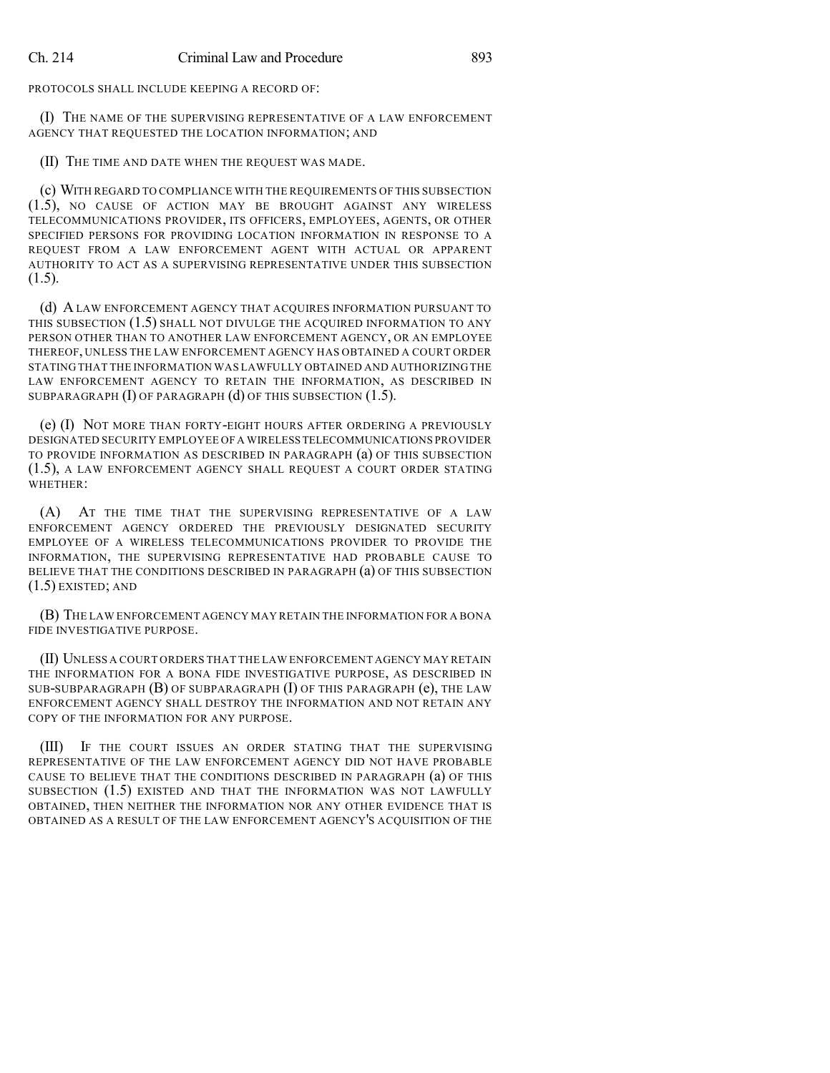PROTOCOLS SHALL INCLUDE KEEPING A RECORD OF:

(I) THE NAME OF THE SUPERVISING REPRESENTATIVE OF A LAW ENFORCEMENT AGENCY THAT REQUESTED THE LOCATION INFORMATION; AND

(II) THE TIME AND DATE WHEN THE REQUEST WAS MADE.

(c) WITH REGARD TO COMPLIANCE WITH THE REQUIREMENTS OF THIS SUBSECTION (1.5), NO CAUSE OF ACTION MAY BE BROUGHT AGAINST ANY WIRELESS TELECOMMUNICATIONS PROVIDER, ITS OFFICERS, EMPLOYEES, AGENTS, OR OTHER SPECIFIED PERSONS FOR PROVIDING LOCATION INFORMATION IN RESPONSE TO A REQUEST FROM A LAW ENFORCEMENT AGENT WITH ACTUAL OR APPARENT AUTHORITY TO ACT AS A SUPERVISING REPRESENTATIVE UNDER THIS SUBSECTION (1.5).

(d) A LAW ENFORCEMENT AGENCY THAT ACQUIRES INFORMATION PURSUANT TO THIS SUBSECTION (1.5) SHALL NOT DIVULGE THE ACQUIRED INFORMATION TO ANY PERSON OTHER THAN TO ANOTHER LAW ENFORCEMENT AGENCY, OR AN EMPLOYEE THEREOF, UNLESS THE LAW ENFORCEMENT AGENCY HAS OBTAINED A COURT ORDER STATING THAT THE INFORMATION WAS LAWFULLY OBTAINED AND AUTHORIZING THE LAW ENFORCEMENT AGENCY TO RETAIN THE INFORMATION, AS DESCRIBED IN SUBPARAGRAPH (I) OF PARAGRAPH (d) OF THIS SUBSECTION (1.5).

(e) (I) NOT MORE THAN FORTY-EIGHT HOURS AFTER ORDERING A PREVIOUSLY DESIGNATED SECURITY EMPLOYEE OF A WIRELESS TELECOMMUNICATIONS PROVIDER TO PROVIDE INFORMATION AS DESCRIBED IN PARAGRAPH (a) OF THIS SUBSECTION (1.5), A LAW ENFORCEMENT AGENCY SHALL REQUEST A COURT ORDER STATING WHETHER:

(A) AT THE TIME THAT THE SUPERVISING REPRESENTATIVE OF A LAW ENFORCEMENT AGENCY ORDERED THE PREVIOUSLY DESIGNATED SECURITY EMPLOYEE OF A WIRELESS TELECOMMUNICATIONS PROVIDER TO PROVIDE THE INFORMATION, THE SUPERVISING REPRESENTATIVE HAD PROBABLE CAUSE TO BELIEVE THAT THE CONDITIONS DESCRIBED IN PARAGRAPH (a) OF THIS SUBSECTION (1.5) EXISTED; AND

(B) THE LAW ENFORCEMENT AGENCY MAY RETAIN THE INFORMATION FOR A BONA FIDE INVESTIGATIVE PURPOSE.

(II) UNLESS A COURT ORDERS THAT THE LAW ENFORCEMENT AGENCY MAY RETAIN THE INFORMATION FOR A BONA FIDE INVESTIGATIVE PURPOSE, AS DESCRIBED IN SUB-SUBPARAGRAPH (B) OF SUBPARAGRAPH (I) OF THIS PARAGRAPH (e), THE LAW ENFORCEMENT AGENCY SHALL DESTROY THE INFORMATION AND NOT RETAIN ANY COPY OF THE INFORMATION FOR ANY PURPOSE.

(III) IF THE COURT ISSUES AN ORDER STATING THAT THE SUPERVISING REPRESENTATIVE OF THE LAW ENFORCEMENT AGENCY DID NOT HAVE PROBABLE CAUSE TO BELIEVE THAT THE CONDITIONS DESCRIBED IN PARAGRAPH (a) OF THIS SUBSECTION (1.5) EXISTED AND THAT THE INFORMATION WAS NOT LAWFULLY OBTAINED, THEN NEITHER THE INFORMATION NOR ANY OTHER EVIDENCE THAT IS OBTAINED AS A RESULT OF THE LAW ENFORCEMENT AGENCY'S ACQUISITION OF THE